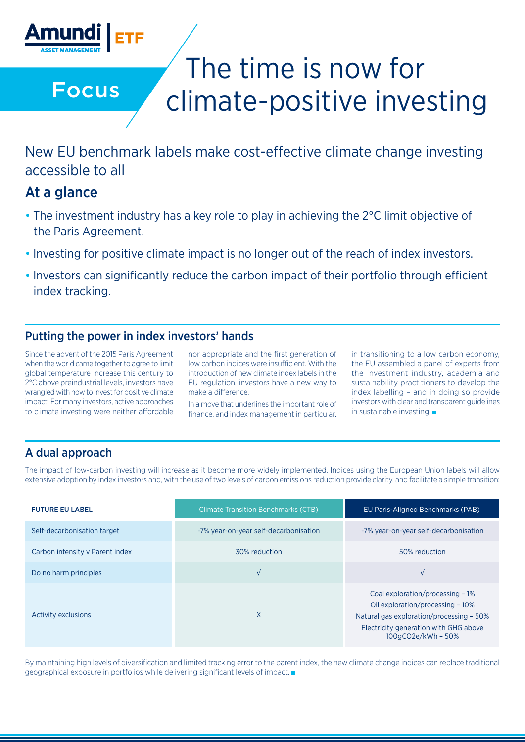

Focus

# The time is now for climate-positive investing

New EU benchmark labels make cost-effective climate change investing accessible to all

# At a glance

- The investment industry has a key role to play in achieving the 2°C limit objective of the Paris Agreement.
- Investing for positive climate impact is no longer out of the reach of index investors.
- Investors can significantly reduce the carbon impact of their portfolio through efficient index tracking.

### Putting the power in index investors' hands

Since the advent of the 2015 Paris Agreement when the world came together to agree to limit global temperature increase this century to 2°C above preindustrial levels, investors have wrangled with how to invest for positive climate impact. For many investors, active approaches to climate investing were neither affordable

nor appropriate and the first generation of low carbon indices were insufficient. With the introduction of new climate index labels in the EU regulation, investors have a new way to make a difference.

In a move that underlines the important role of finance, and index management in particular, in transitioning to a low carbon economy, the EU assembled a panel of experts from the investment industry, academia and sustainability practitioners to develop the index labelling – and in doing so provide investors with clear and transparent guidelines in sustainable investing.

## A dual approach

The impact of low-carbon investing will increase as it become more widely implemented. Indices using the European Union labels will allow extensive adoption by index investors and, with the use of two levels of carbon emissions reduction provide clarity, and facilitate a simple transition:

| <b>FUTURE EU LABEL</b>          | <b>Climate Transition Benchmarks (CTB)</b> | EU Paris-Aligned Benchmarks (PAB)                                                                                                                                               |
|---------------------------------|--------------------------------------------|---------------------------------------------------------------------------------------------------------------------------------------------------------------------------------|
| Self-decarbonisation target     | -7% year-on-year self-decarbonisation      | -7% year-on-year self-decarbonisation                                                                                                                                           |
| Carbon intensity y Parent index | 30% reduction                              | 50% reduction                                                                                                                                                                   |
| Do no harm principles           | $\sqrt{ }$                                 |                                                                                                                                                                                 |
| <b>Activity exclusions</b>      | X                                          | Coal exploration/processing - 1%<br>Oil exploration/processing - 10%<br>Natural gas exploration/processing - 50%<br>Electricity generation with GHG above<br>100gCO2e/kWh - 50% |

By maintaining high levels of diversification and limited tracking error to the parent index, the new climate change indices can replace traditional geographical exposure in portfolios while delivering significant levels of impact.